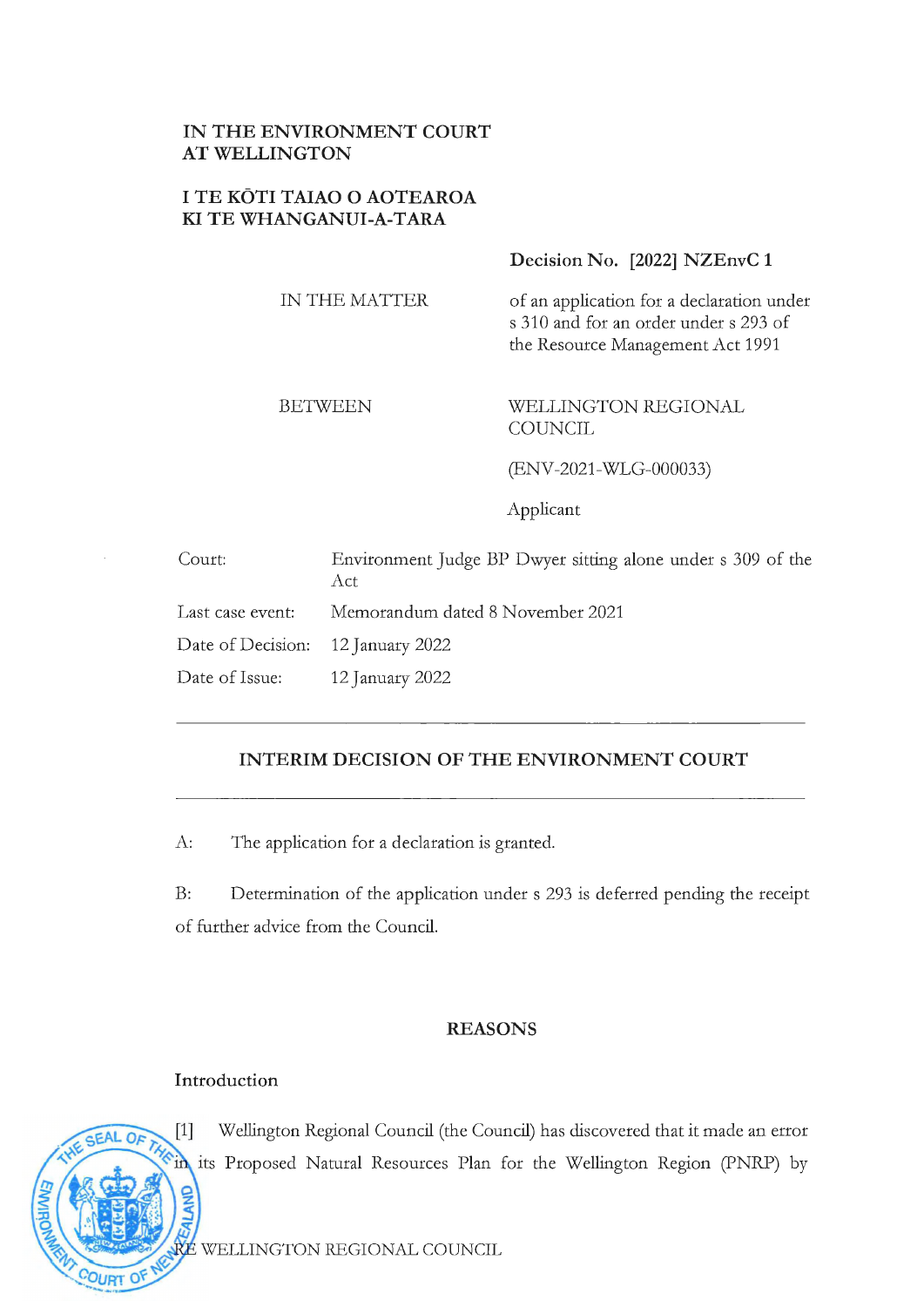# **IN THE ENVIRONMENT COURT AT WELLINGTON**

## **I TE KOTI TAIAO O AOTEAROA KI TE WHANGANUI-A-TARA**

## **Decision No. [2022] NZEnvC 1**

IN THE MATTER

of an application for a declaration under s 310 and for an order under s 293 of the Resource Management Act 1991

#### BETWEEN

#### WELLINGTON REGIONAL **COUNCIL**

(ENV-2021-WLG-000033)

Applicant

| Court:                            | Environment Judge BP Dwyer sitting alone under s 309 of the<br>Act. |
|-----------------------------------|---------------------------------------------------------------------|
| Last case event:                  | Memorandum dated 8 November 2021                                    |
| Date of Decision: 12 January 2022 |                                                                     |
| Date of Issue: 12 January 2022    |                                                                     |

## **INTERIM DECISION OF THE ENVIRONMENT COURT**

A: The application for a declaration is granted.

B: Determination of the application under s 293 is deferred pending the receipt of further advice from the Council.

### **REASONS**

### **Introduction**

 $[1]$ 

Wellington Regional Council (the Council) has discovered that it made an error in its Proposed Natural Resources Plan for the Wellington Region (PNRP) by

WELLINGTON REGIONAL COUNCIL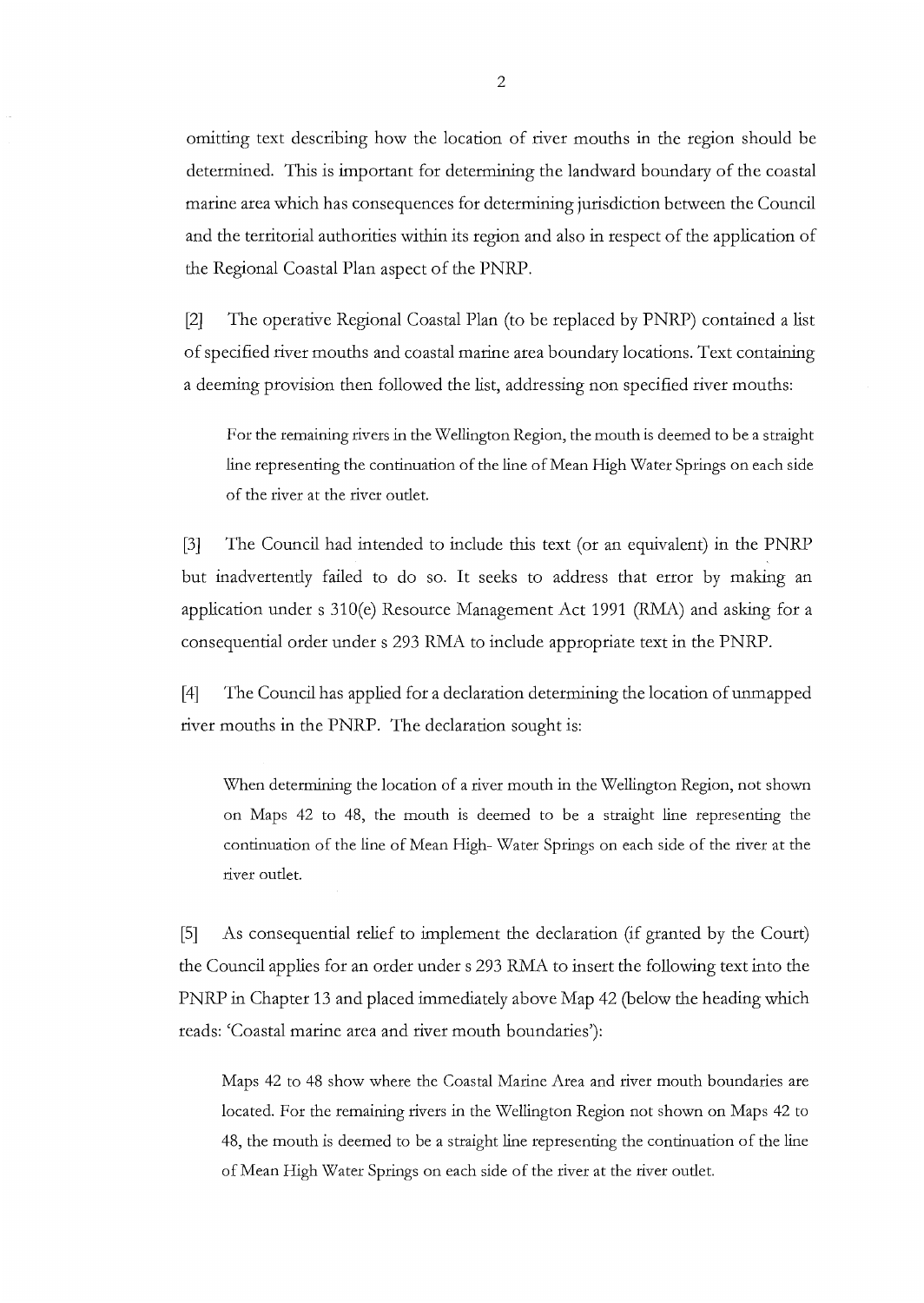omitting text describing how the location of river mouths in the region should be determined. This is important for determining the landward boundary of the coastal marine area which has consequences for determining jurisdiction between the Council and the territorial authorities within its region and also in respect of the application of the Regional Coastal Plan aspect of the PNRP.

[2] The operative Regional Coastal Plan (to be replaced by PNRP) contained a list of specified river mouths and coastal marine area boundary locations. Text containing a deeming provision then followed the list, addressing non specified river mouths:

For the remaining rivers in the Wellington Region, the mouth is deemed to be a straight line representing the continuation of the line of Mean High \Vater Springs on each side of the river at the river outlet.

[3] The Council had intended to include this text ( or an equivalent) in the PNRP but inadvertently failed to do so. It seeks to address that error by making an application under s 310(e) Resource Management Act 1991 (RMA) and asking for a consequential order under s 293 RMA to include appropriate text in the PNRP.

[4] The Council has applied for a declaration determining the location of unmapped river mouths in the PNRP. The declaration sought is:

When determining the location of a river mouth in the Wellington Region, not shown on Maps 42 to 48, the mouth is deemed to be a straight line representing the continuation of the line of Mean High- \Vater Springs on each side of the river at the river outlet.

[5] As consequential relief to implement the declaration (if granted by the Court) the Council applies for an order under s 293 RMA to insert the following text into the PNRP in Chapter 13 and placed immediately above Map 42 (below the heading which reads: 'Coastal marine area and river mouth boundaries'):

Maps 42 to 48 show where the Coastal Marine Area and river mouth boundaries are located. For the remaining rivers in the \Vellington Region not shown on Maps 42 to 48, the mouth is deemed to be a straight line representing the continuation of the line of Mean High \Vater Springs on each side of the river at the river outlet.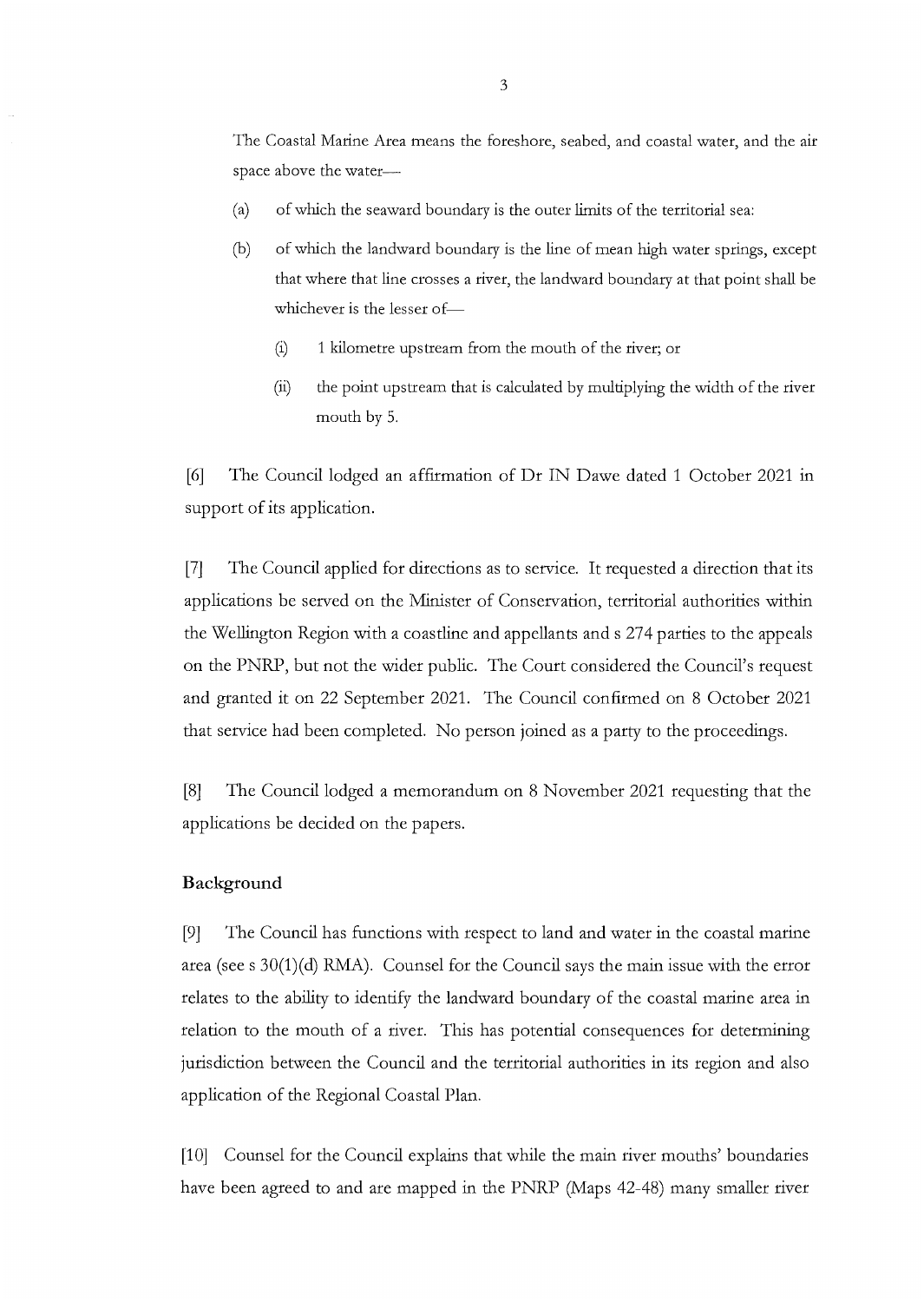The Coastal Marine Area means the foreshore, seabed, and coastal water, and the air space above the water-

- (a) of which the seaward boundary is the outer limits of the territorial sea:
- (b) of which the landward boundary is the line of mean high water springs, except that where that line crosses a river, the landward boundary at that point shall be whichever is the lesser of-
	- (i) 1 kilometre upstream from the mouth of the river; or
	- (ii) the point upstream that is calculated by multiplying the width of the river mouth by 5.

[6] The Council lodged an affirmation of Dr IN Dawe dated 1 October 2021 in support of its application.

[7] The Council applied for directions as to service. It requested a direction that its applications be served on the Minister of Conservation, territorial authorities within the Wellington Region with a coastline and appellants ands 274 parties to the appeals on the PNRP, but not the wider public. The Court considered the Council's request and granted it on 22 September 2021. The Council confirmed on 8 October 2021 that service had been completed. No person joined as a party to the proceedings.

[8] The Council lodged a memorandum on 8 November 2021 requesting that the applications be decided on the papers.

### **Background**

[9] The Council has functions with respect to land and water in the coastal marine area (see s  $30(1)(d)$  RMA). Counsel for the Council says the main issue with the error relates to the ability to identify the landward boundary of the coastal marine area in relation to the mouth of a river. This has potential consequences for determining jurisdiction between the Council and the territorial authorities in its region and also application of the Regional Coastal Plan.

[10] Counsel for the Council explains that while the main river mouths' boundaries have been agreed to and are mapped in the PNRP (Maps 42-48) many smaller river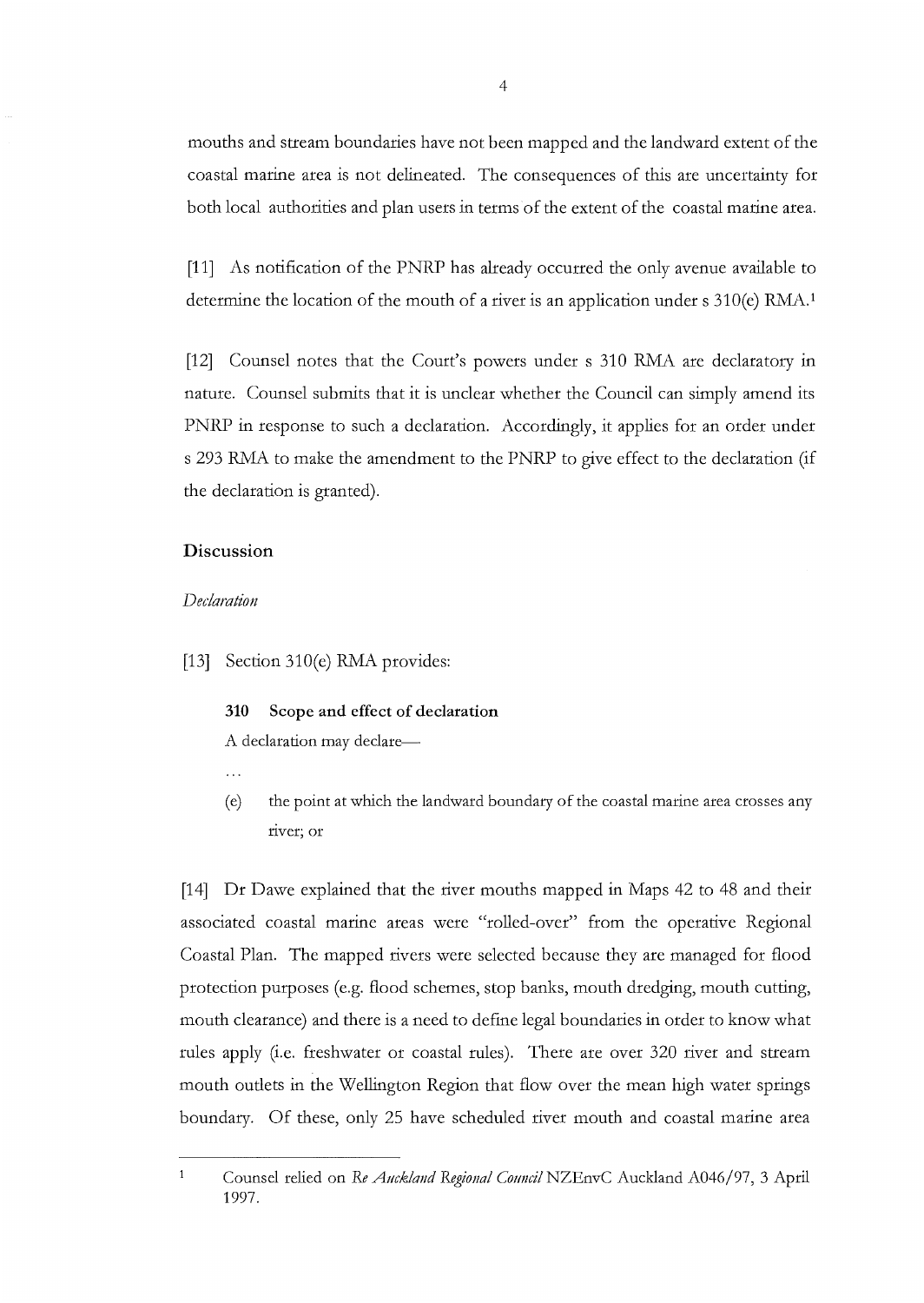mouths and stream boundaries have not been mapped and the landward extent of the coastal marine area is not delineated. The consequences of this are uncertainty for both local authorities and plan users in terms of the extent of the coastal marine area.

[11] As notification of the PNRP has already occurred the only avenue available to determine the location of the mouth of a river is an application under  $s$  310(e) RMA.<sup>1</sup>

[12] Counsel notes that the Court's powers under s 310 *RMA* are declaratory in nature. Counsel submits that it is unclear whether the Council can simply amend its PNRP in response to such a declaration. Accordingly, it applies for an order under s 293 RMA to make the amendment to the PNRP to give effect to the declaration (if the declaration is granted).

#### **Discussion**

#### *Declaration*

[13] Section 310(e) RMA provides:

#### **310 Scope and effect of declaration**

A declaration may declare-

- 
- ( e) the point at which the landward boundary of the coastal marine area crosses any river; or

[14] Dr Dawe explained that the river mouths mapped in Maps 42 to 48 and their associated coastal marine areas were "rolled-over" from the operative Regional Coastal Plan. The mapped rivers were selected because they are managed for flood protection purposes (e.g. flood schemes, stop banks, mouth dredging, mouth cutting, mouth clearance) and there is a need to define legal boundaries in order to know what rules apply (i.e. freshwater or coastal rules). There are over 320 river and stream mouth outlets in the Wellington Region that flow over the mean high water springs boundary. Of these, only 25 have scheduled river mouth and coastal marine area

 $\mathbf{1}$ 

Counsel relied on *Re Auckland Regional Council* NZEnvC Auckland A046/97, 3 April 1997.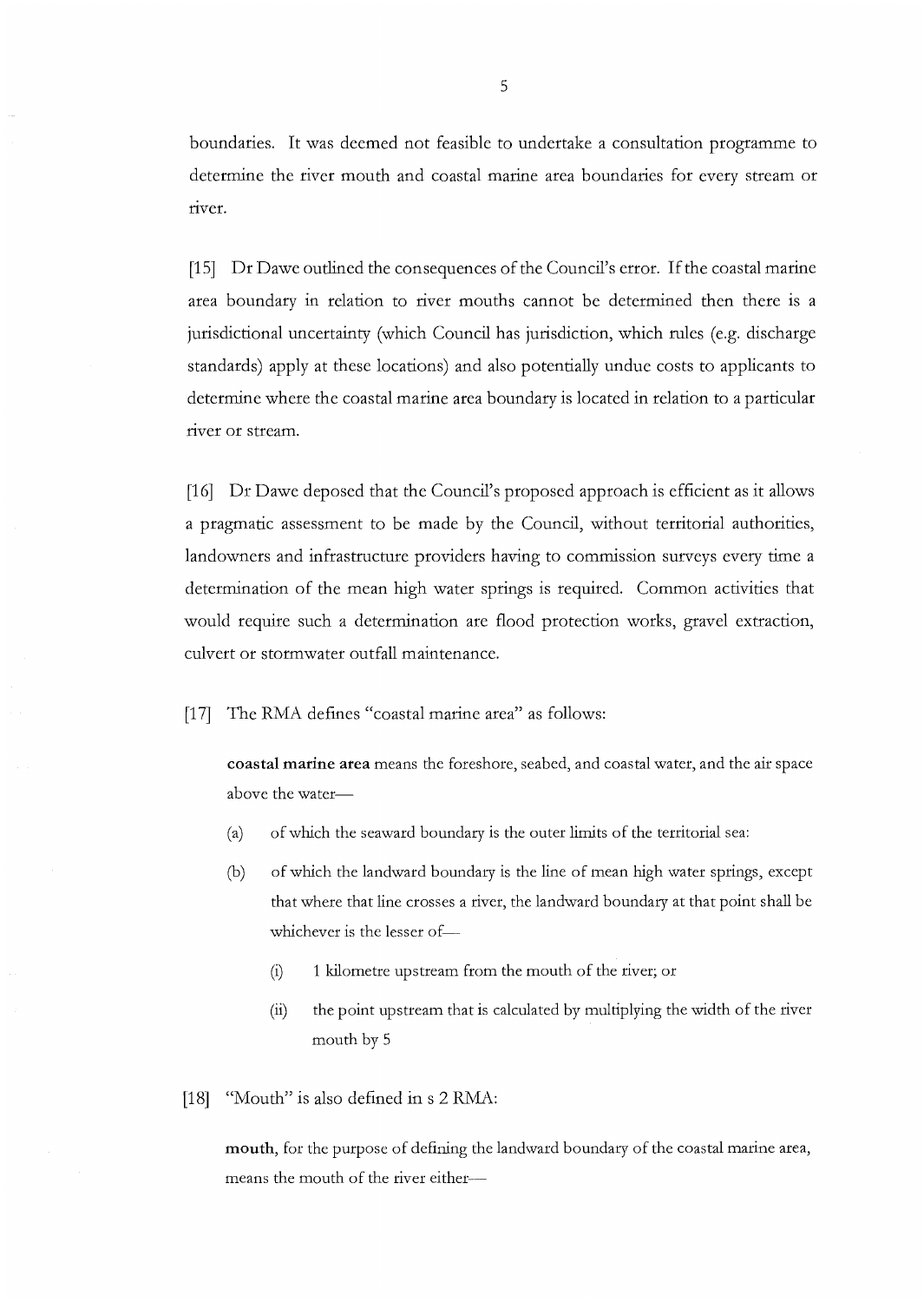boundaries. It was deemed not feasible to undertake a consultation programme to determine the river mouth and coastal marine area boundaries for every stream or river.

[15] Dr Dawe outlined the consequences of the Council's error. If the coastal marine area boundary in relation to river mouths cannot be determined then there is a jurisdictional uncertainty (which Council has jurisdiction, which rules (e.g. discharge standards) apply at these locations) and also potentially undue costs to applicants to determine where the coastal marine area boundary is located in relation to a particular river or stream.

[16] Dr Dawe deposed that the Council's proposed approach is efficient as it allows a pragmatic assessment to be made by the Council, without territorial authorities, landowners and infrastructure providers having to commission surveys every time a determination of the mean high water springs is required. Common activities that would require such a determination are flood protection works, gravel extraction, culvert or stormwater outfall maintenance.

[17] The RMA defines "coastal marine area" as follows:

**coastal marine area** means the foreshore, seabed, and coastal water, and the air space above the water-

- (a) of which the seaward boundary is the outer limits of the territorial sea:
- (b) of which the landward boundary is the line of mean high water springs, except that where that line crosses a river, the landward boundary at that point shall be whichever is the lesser of-
	- (i) 1 kilometre upstream from the mouth of the river; or
	- (ii) the point upstream that is calculated by multiplying the width of the river mouth by 5

[18] "Mouth" is also defined in s 2 RMA:

**mouth,** for the purpose of defining the landward boundary of the coastal marine area, means the mouth of the river either-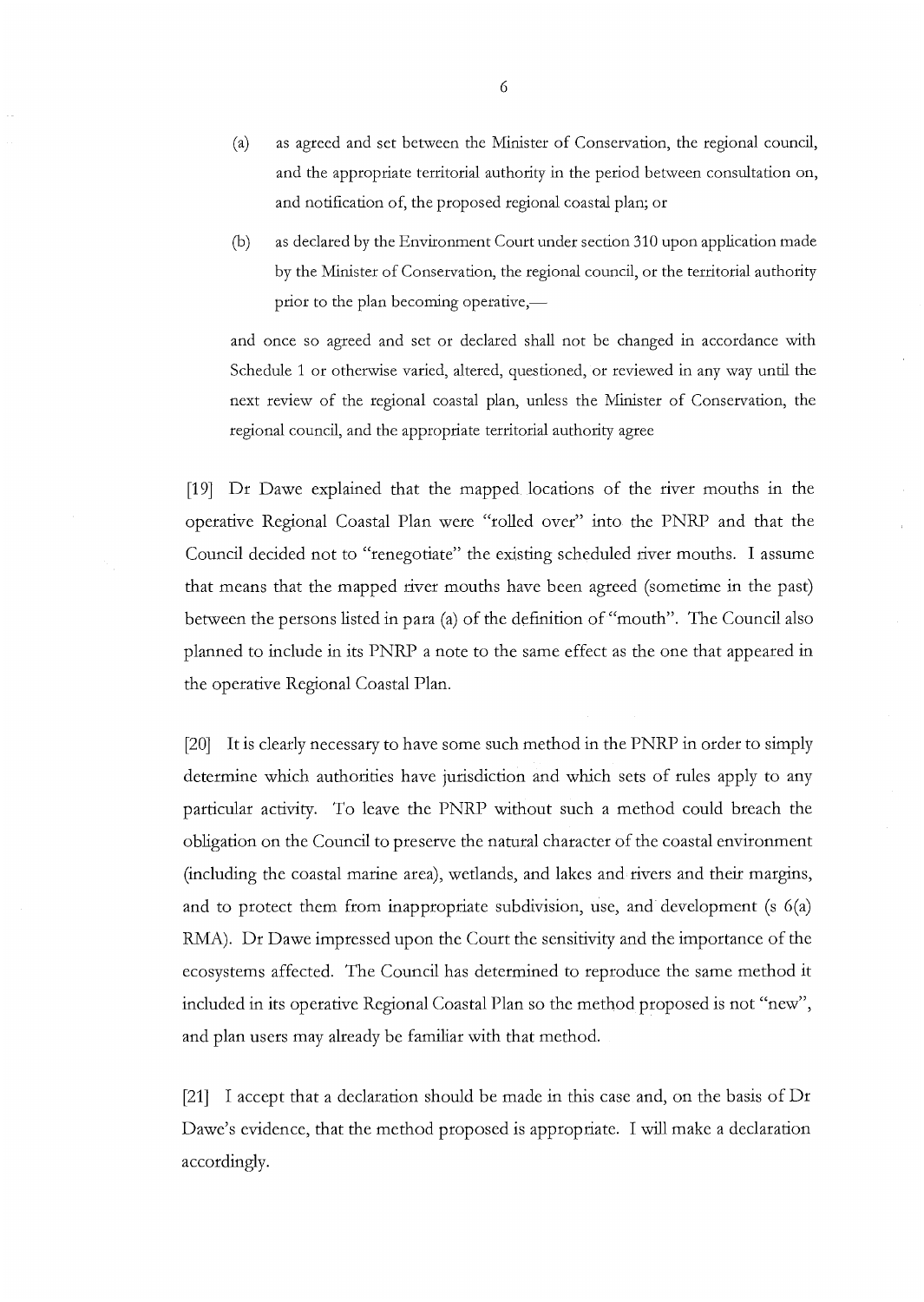- (a) as agreed and set between the Minister of Conservation, the regional council, and the appropriate territorial authority in the period between consultation on, and notification of, the proposed regional coastal plan; or
- (b) as declared by the Environment Court under section 310 upon application made by the Minister of Conservation, the regional council, or the territorial authority prior to the plan becoming operative,—

and once so agreed and set or declared shall not be changed in accordance with Schedule 1 or otherwise varied, altered, questioned, or reviewed in any way until the next review of the regional coastal plan, unless the Nlinister of Conservation, the regional council, and the appropriate territorial authority agree

[19] Dr Dawe explained that the mapped locations of the river mouths in the operative Regional Coastal Plan were "rolled over" into the PNRP and that the Council decided not to "renegotiate" the existing scheduled river mouths. I assume that means that the mapped river mouths have been agreed (sometime in the past) between the persons listed in para (a) of the definition of "mouth". The Council also planned to include in its PNRP a note to the same effect as the one that appeared in the operative Regional Coastal Plan.

[20] It is clearly necessary to have some such method in the PNRP in order to simply determine which authorities have jurisdiction and which sets of rules apply to any particular activity. To leave the PNRP without such a method could breach the obligation on the Council to preserve the natural character of the coastal environment (including the coastal marine area), wetlands, and lakes and rivers and their margins, and to protect them from inappropriate subdivision, use, and development (s 6(a) RMA). Dr Dawe impressed upon the Court the sensitivity and the importance of the ecosystems affected. The Council has determined to reproduce the same method it included in its operative Regional Coastal Plan so the method proposed is not "new", and plan users may already be familiar with that method.

[21] I accept that a declaration should be made in this case and, on the basis of Dr Dawe's evidence, that the method proposed is appropriate. I will make a declaration accordingly.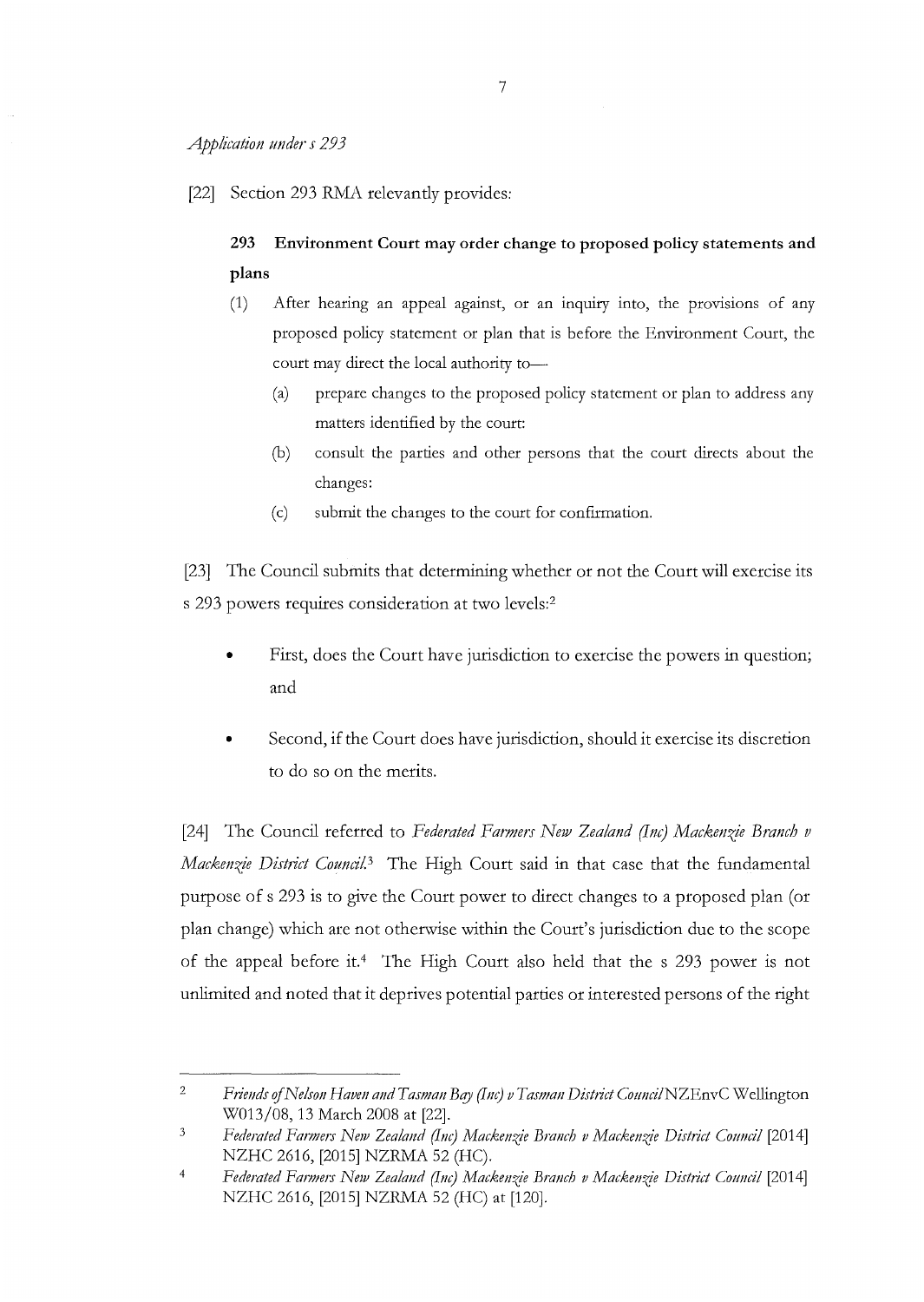[22] Section 293 RMA relevantly provides:

# **293 Environment Court may order change to proposed policy statements and plans**

- (1) After hearing an appeal against, or an inquiry into, the provisions of any proposed policy statement or plan that is before the Environment Court, the court may direct the local authority to-
	- (a) prepare changes to the proposed policy statement or plan to address any matters identified by the court:
	- (b) consult the parties and other persons that the court directs about the changes:
	- (c) submit the changes to the court for confirmation.

[23] The Council submits that determining whether or not the Court will exercise its s 293 powers requires consideration at two levels:<sup>2</sup>

- First, does the Court have jurisdiction to exercise the powers in question; and
- Second, if the Court does have jurisdiction, should it exercise its discretion to do so on the merits.

[24] The Council referred to *Federated Farmers New Zealand (Inc) Mackenzie Branch v Mackenzie District Council.*<sup>3</sup> The High Court said in that case that the fundamental purpose of s 293 is to give the Court power to direct changes to a proposed plan (or plan change) which are not otherwise within the Court's jurisdiction due to the scope of the appeal before it.4 The High Court also held that the s 293 power is not unlimited and noted that it deprives potential parties or interested persons of the right

<sup>2</sup>  *Friends* if *Nelson Haven and Tasman Bery (Im) v Tasman District ComuilNZEnvC* \Vellington W013/08, 13 March 2008 at [22].

<sup>3</sup>  *Federated Farmers Neiv Zealand (Im) Niackenzje Branch v Mackenzie District Comuil* [2014] NZHC 2616, [2015] NZRMA 52 (HC).

<sup>4</sup>  *Federated Farmers New Zealand (Im) Niackenzje Branch v Mackenzie District Comuil* [2014] NZHC 2616, [2015] NZRMA 52 (HC) at [120].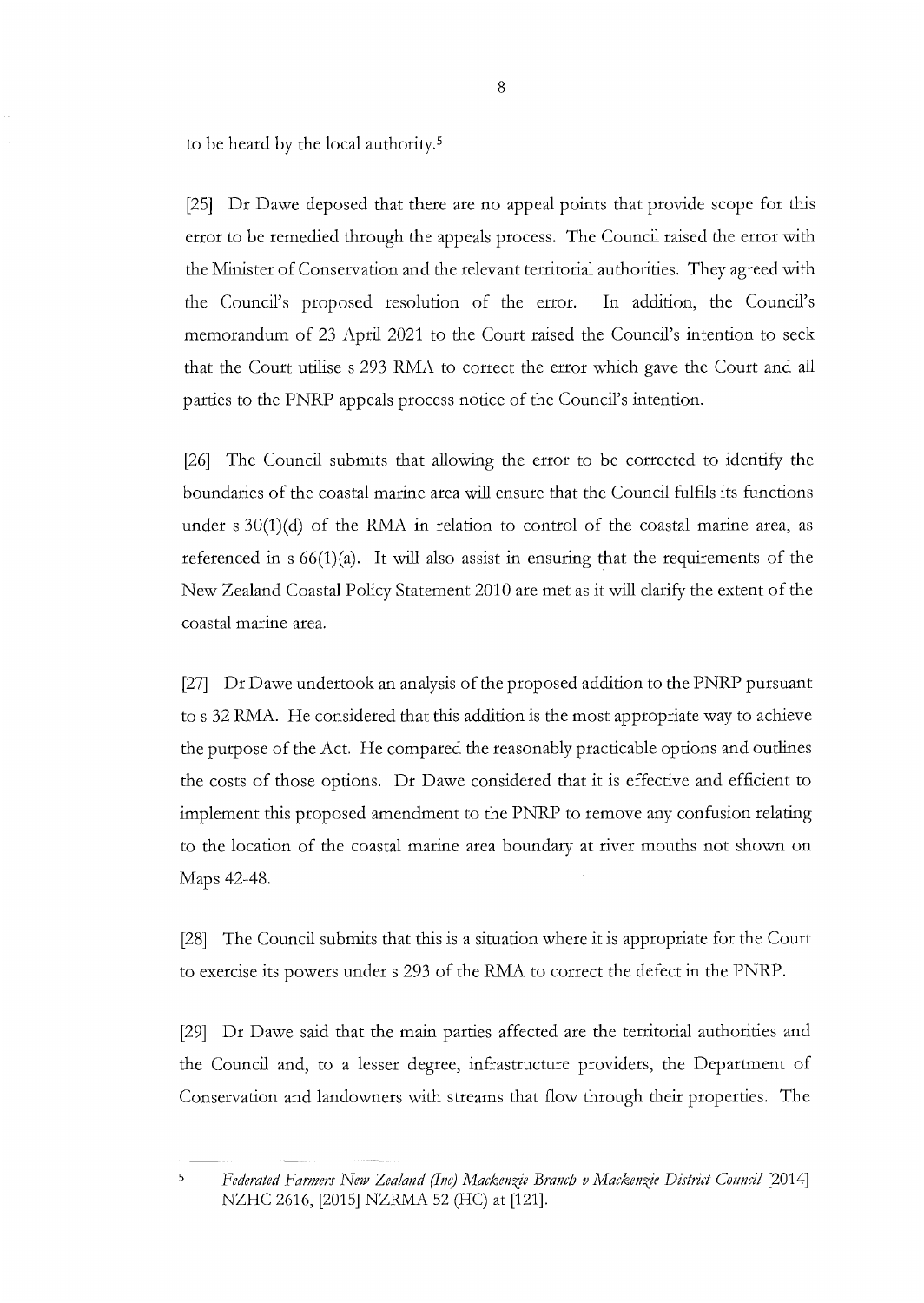to be heard by the local authority. <sup>5</sup>

[25] Dr Dawe deposed that there are no appeal points that provide scope for this error to be remedied through the appeals process. The Council raised the error with the Minister of Conservation and the relevant territorial authorities. They agreed with the Council's proposed resolution of the error. In addition, the Council's memorandum of 23 April 2021 to the Court raised the Council's intention to seek that the Court utilise s 293 RMA to correct the error which gave the Court and all parties to the PNRP appeals process notice of the Council's intention.

[26] The Council submits that allowing the error to be corrected to identify the boundaries of the coastal marine area will ensure that the Council fulfils its functions under s 30(1)(d) of the RMA in relation to control of the coastal marine area, as referenced in  $s 66(1)(a)$ . It will also assist in ensuring that the requirements of the New Zealand Coastal Policy Statement 2010 are met as it will clarify the extent of the coastal marine area.

[27] Dr Dawe undertook an analysis of the proposed addition to the PNRP pursuant to s 32 RMA. He considered that this addition is the most appropriate way to achieve the purpose of the Act. He compared the reasonably practicable options and outlines the costs of those options. Dr Dawe considered that it is effective and efficient to implement this proposed amendment to the PNRP to remove any confusion relating to the location of the coastal marine area boundary at river mouths not shown on Maps 42-48.

[28] The Council submits that this is a situation where it is appropriate for the Court to exercise its powers under s 293 of the RMA to correct the defect in the PNRP.

[29] Dr Dawe said that the main parties affected are the territorial authorities and the Council and, to a lesser degree, infrastructure providers, the Department of Conservation and landowners with streams that flow through their properties. The

<sup>&</sup>lt;sup>5</sup> Federated Farmers New Zealand (Inc) Mackenzie Branch v Mackenzie District Council [2014] NZHC 2616, [2015] NZRMA 52 (HC) at [121].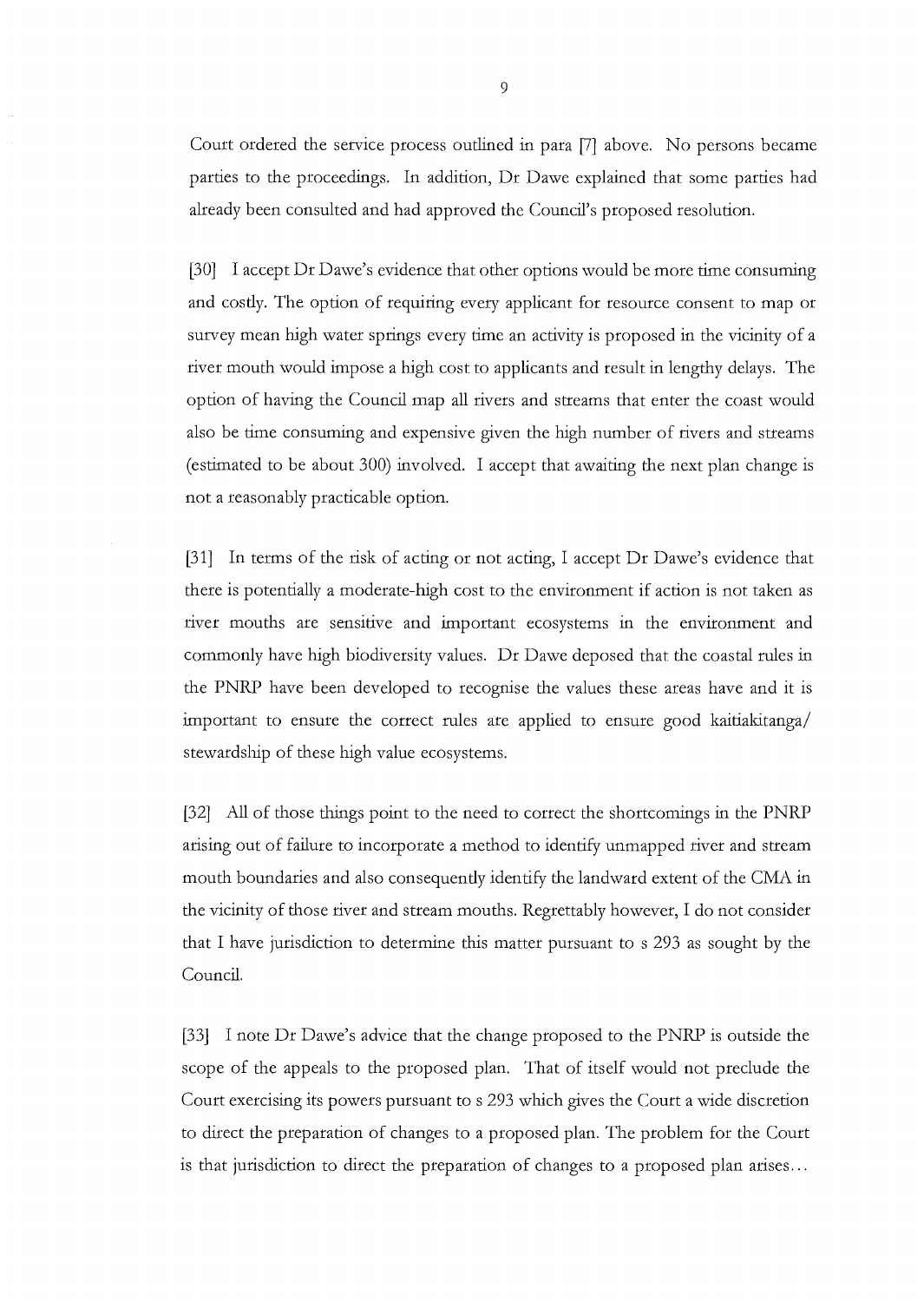Court ordered the service process outlined in para [7] above. No persons became parties to the proceedings. In addition, Dr Dawe explained that some parties had already been consulted and had approved the Council's proposed resolution.

[30] I accept Dr Dawe's evidence that other options would be more time consuming and costly. The option of requiring every applicant for resource consent to map or survey mean high water springs every time an activity is proposed in the vicinity of a river mouth would impose a high cost to applicants and result in lengthy delays. The option of having the Council map all rivers and streams that enter the coast would also be time consuming and expensive given the high number of rivers and streams (estimated to be about 300) involved. I accept that awaiting the next plan change is not a reasonably practicable option.

[31] In terms of the risk of acting or not acting, I accept Dr Dawe's evidence that there is potentially a moderate-high cost to the environment if action is not taken as river mouths are sensitive and important ecosystems in the environment and commonly have high biodiversity values. Dr Dawe deposed that the coastal rules in the PNRP have been developed to recognise the values these areas have and it is important to ensure the correct rules are applied to ensure good kaitiakitanga/ stewardship of these high value ecosystems.

[32] All of those things point to the need to correct the shortcomings in the PNRP arising out of failure to incorporate a method to identify unmapped river and stream mouth boundaries and also consequently identify the landward extent of the CMA in the vicinity of those river and stream mouths. Regrettably however, I do not consider that I have jurisdiction to determine this matter pursuant to s 293 as sought by the Council.

[33] I note Dr Dawe's advice that the change proposed to the PNRP is outside the scope of the appeals to the proposed plan. That of itself would not preclude the Court exercising its powers pursuant to s 293 which gives the Court a wide discretion to direct the preparation of changes to a proposed plan. The problem for the Court is that jurisdiction to direct the preparation of changes to a proposed plan arises ...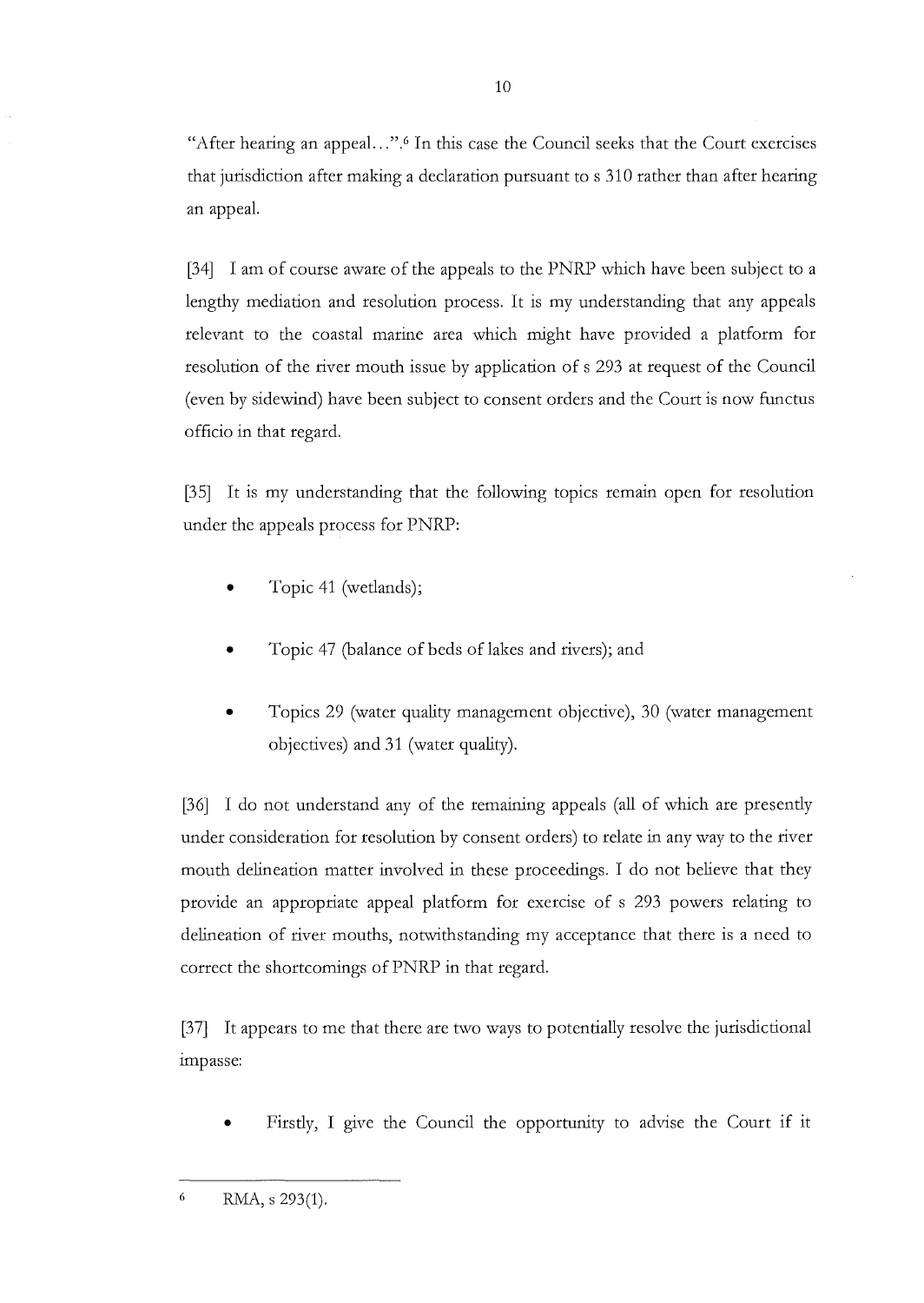"After hearing an appeal...".<sup>6</sup> In this case the Council seeks that the Court exercises that jurisdiction after making a declaration pursuant to s 310 rather than after hearing an appeal.

[34] I am of course aware of the appeals to the PNRP which have been subject to a lengthy mediation and resolution process. It is my understanding that any appeals relevant to the coastal marine area which might have provided a platform for resolution of the river mouth issue by application of s 293 at request of the Council (even by sidewind) have been subject to consent orders and the Court is now functus officio in that regard.

[35] It is my understanding that the following topics remain open for resolution under the appeals process for PNRP:

- Topic 41 (wetlands);
- Topic 47 (balance of beds of lakes and rivers); and
- Topics 29 (water quality management objective), 30 (water management objectives) and 31 (water quality).

[36] I do not understand any of the remaining appeals (all of which are presently under consideration for resolution by consent orders) to relate in any way to the river mouth delineation matter involved in these proceedings. I do not believe that they provide an appropriate appeal platform for exercise of s 293 powers relating to delineation of river mouths, notwithstanding my acceptance that there is a need to correct the shortcomings of PNRP in that regard.

[37] It appears to me that there are two ways to potentially resolve the jurisdictional impasse:

• Firstly, I give the Council the opportunity to advise the Court if it

 $6$  RMA, s 293(1).